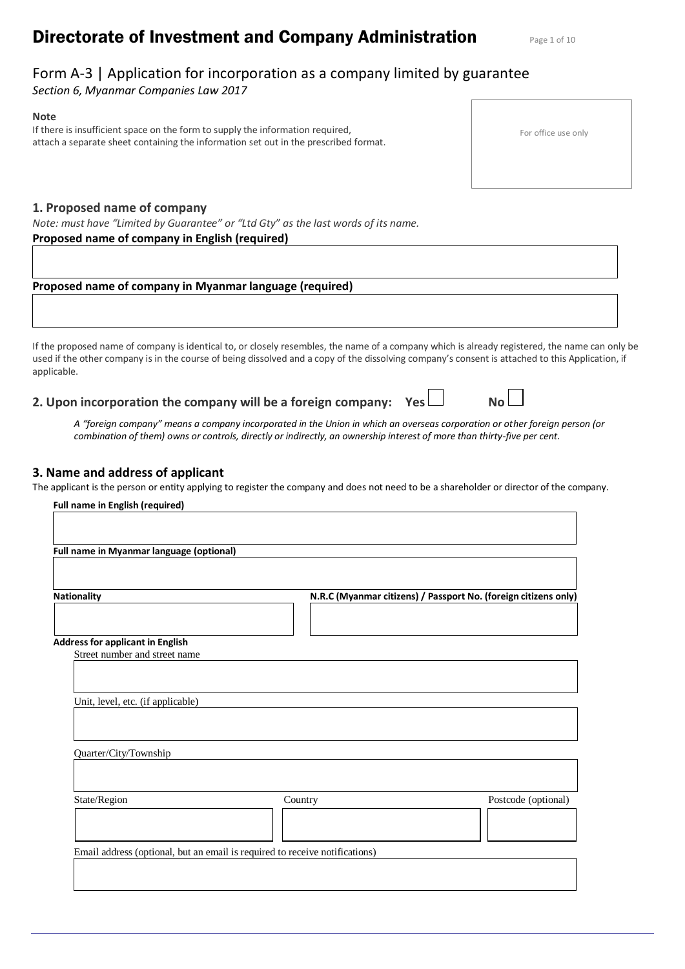# **Directorate of Investment and Company Administration** Page 1 of 10

# Form A-3 | Application for incorporation as a company limited by guarantee

*Section 6, Myanmar Companies Law 2017*

#### **Note**

If there is insufficient space on the form to supply the information required, attach a separate sheet containing the information set out in the prescribed format.

#### **1. Proposed name of company**

*Note: must have "Limited by Guarantee" or "Ltd Gty" as the last words of its name.*

#### **Proposed name of company in English (required)**

#### **Proposed name of company in Myanmar language (required)**

If the proposed name of company is identical to, or closely resembles, the name of a company which is already registered, the name can only be used if the other company is in the course of being dissolved and a copy of the dissolving company's consent is attached to this Application, if applicable.

**2. Upon incorporation the company will be a foreign company: Yes No**

*A "foreign company" means a company incorporated in the Union in which an overseas corporation or other foreign person (or combination of them) owns or controls, directly or indirectly, an ownership interest of more than thirty-five per cent.*

#### **3. Name and address of applicant**

The applicant is the person or entity applying to register the company and does not need to be a shareholder or director of the company.

| <b>Full name in English (required)</b>                                      |         |                                                                 |
|-----------------------------------------------------------------------------|---------|-----------------------------------------------------------------|
|                                                                             |         |                                                                 |
| Full name in Myanmar language (optional)                                    |         |                                                                 |
|                                                                             |         |                                                                 |
|                                                                             |         |                                                                 |
| <b>Nationality</b>                                                          |         | N.R.C (Myanmar citizens) / Passport No. (foreign citizens only) |
| <b>Address for applicant in English</b>                                     |         |                                                                 |
| Street number and street name                                               |         |                                                                 |
|                                                                             |         |                                                                 |
|                                                                             |         |                                                                 |
| Unit, level, etc. (if applicable)                                           |         |                                                                 |
|                                                                             |         |                                                                 |
|                                                                             |         |                                                                 |
| Quarter/City/Township                                                       |         |                                                                 |
|                                                                             |         |                                                                 |
|                                                                             |         |                                                                 |
| State/Region                                                                | Country | Postcode (optional)                                             |
|                                                                             |         |                                                                 |
|                                                                             |         |                                                                 |
| Email address (optional, but an email is required to receive notifications) |         |                                                                 |
|                                                                             |         |                                                                 |
|                                                                             |         |                                                                 |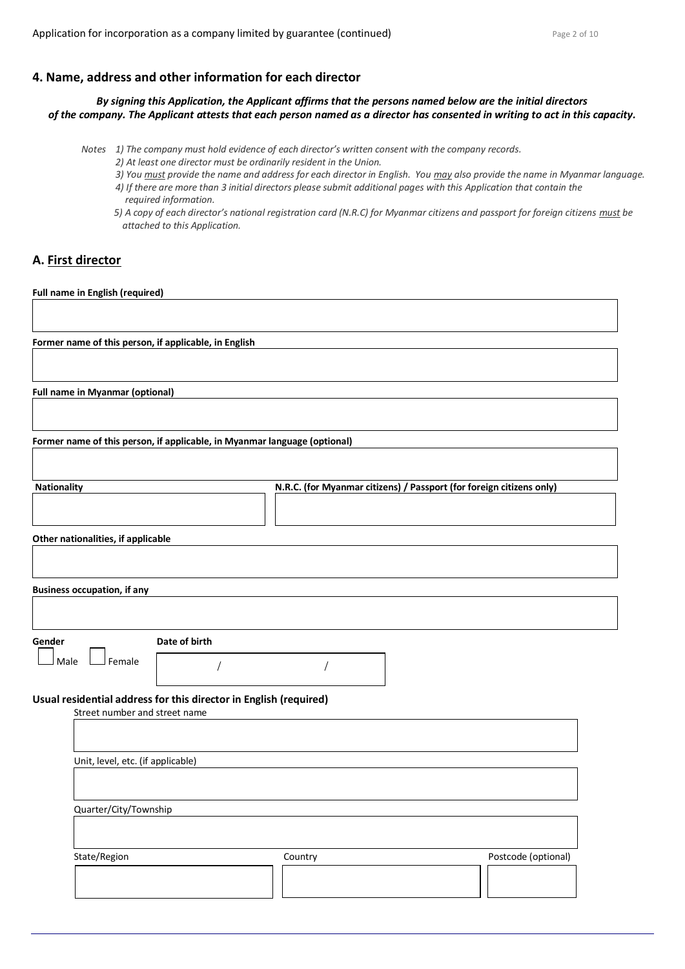#### **4. Name, address and other information for each director**

*By signing this Application, the Applicant affirms that the persons named below are the initial directors of the company. The Applicant attests that each person named as a director has consented in writing to act in this capacity.*

- *Notes 1) The company must hold evidence of each director's written consent with the company records.*
	- *2) At least one director must be ordinarily resident in the Union.*
	- *3) You must provide the name and address for each director in English. You may also provide the name in Myanmar language.*
	- *4) If there are more than 3 initial directors please submit additional pages with this Application that contain the required information.*
	- *5) A copy of each director's national registration card (N.R.C) for Myanmar citizens and passport for foreign citizens must be attached to this Application.*

# **A. First director**

**Full name in English (required)**

| Former name of this person, if applicable, in English                     |               |                                                                      |                     |
|---------------------------------------------------------------------------|---------------|----------------------------------------------------------------------|---------------------|
|                                                                           |               |                                                                      |                     |
| <b>Full name in Myanmar (optional)</b>                                    |               |                                                                      |                     |
|                                                                           |               |                                                                      |                     |
| Former name of this person, if applicable, in Myanmar language (optional) |               |                                                                      |                     |
|                                                                           |               |                                                                      |                     |
| <b>Nationality</b>                                                        |               | N.R.C. (for Myanmar citizens) / Passport (for foreign citizens only) |                     |
| Other nationalities, if applicable                                        |               |                                                                      |                     |
|                                                                           |               |                                                                      |                     |
| <b>Business occupation, if any</b>                                        |               |                                                                      |                     |
|                                                                           |               |                                                                      |                     |
| Gender                                                                    | Date of birth |                                                                      |                     |
| <sup>J</sup> Female<br>Male                                               |               |                                                                      |                     |
| Usual residential address for this director in English (required)         |               |                                                                      |                     |
| Street number and street name                                             |               |                                                                      |                     |
|                                                                           |               |                                                                      |                     |
| Unit, level, etc. (if applicable)                                         |               |                                                                      |                     |
|                                                                           |               |                                                                      |                     |
| Quarter/City/Township                                                     |               |                                                                      |                     |
|                                                                           |               |                                                                      |                     |
| State/Region                                                              |               | Country                                                              | Postcode (optional) |
|                                                                           |               |                                                                      |                     |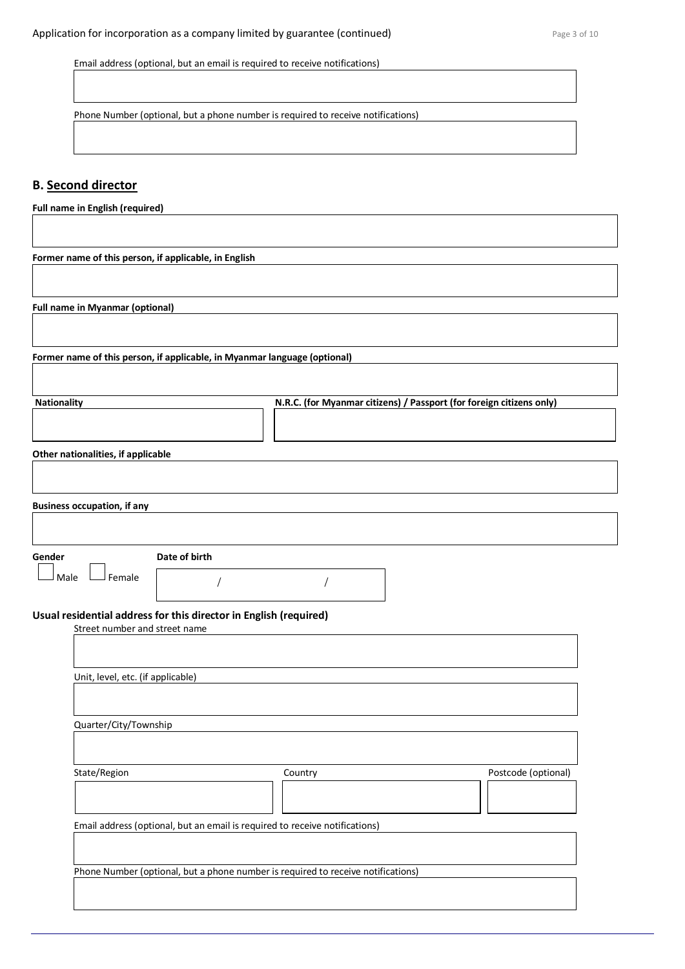Email address (optional, but an email is required to receive notifications)

Phone Number (optional, but a phone number is required to receive notifications)

# **B. Second director**

**Full name in English (required)**

**Former name of this person, if applicable, in English**

**Full name in Myanmar (optional)**

**Former name of this person, if applicable, in Myanmar language (optional)**

| Other nationalities, if applicable<br><b>Business occupation, if any</b><br>Date of birth<br>Gender<br>Female<br>Male<br>Usual residential address for this director in English (required)<br>Street number and street name |                                                                                  |                     |
|-----------------------------------------------------------------------------------------------------------------------------------------------------------------------------------------------------------------------------|----------------------------------------------------------------------------------|---------------------|
|                                                                                                                                                                                                                             |                                                                                  |                     |
|                                                                                                                                                                                                                             |                                                                                  |                     |
|                                                                                                                                                                                                                             |                                                                                  |                     |
|                                                                                                                                                                                                                             |                                                                                  |                     |
| Unit, level, etc. (if applicable)                                                                                                                                                                                           |                                                                                  |                     |
| Quarter/City/Township                                                                                                                                                                                                       |                                                                                  |                     |
| State/Region                                                                                                                                                                                                                | Country                                                                          | Postcode (optional) |
| Email address (optional, but an email is required to receive notifications)                                                                                                                                                 |                                                                                  |                     |
|                                                                                                                                                                                                                             | Phone Number (optional, but a phone number is required to receive notifications) |                     |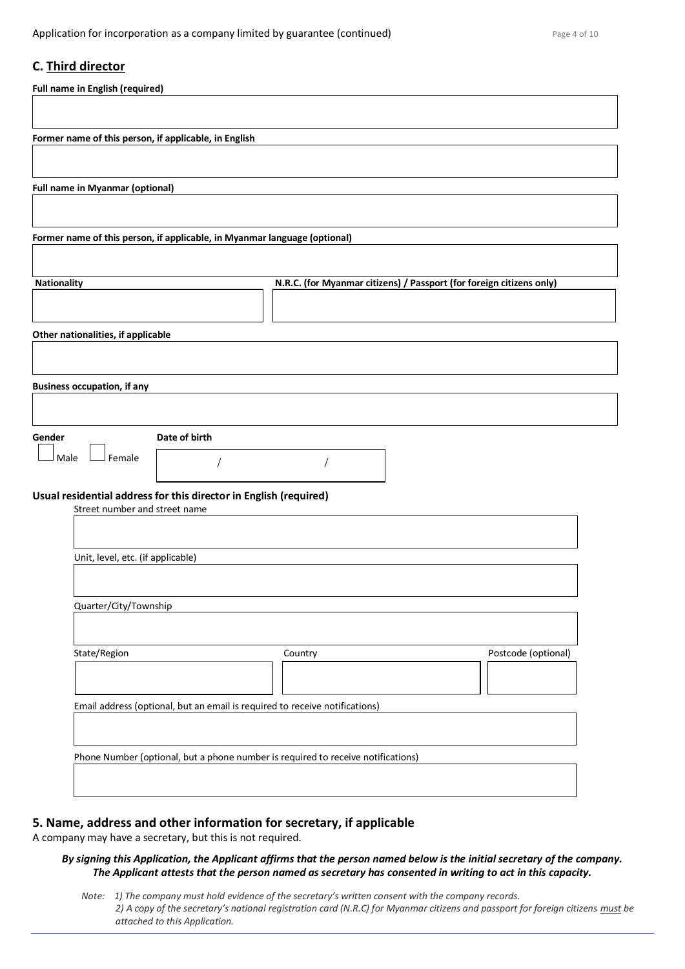### **C. Third director**

|                                    | <b>Full name in English (required)</b> |                                                                           |                                                                                  |                     |
|------------------------------------|----------------------------------------|---------------------------------------------------------------------------|----------------------------------------------------------------------------------|---------------------|
|                                    |                                        |                                                                           |                                                                                  |                     |
|                                    |                                        | Former name of this person, if applicable, in English                     |                                                                                  |                     |
|                                    |                                        |                                                                           |                                                                                  |                     |
|                                    | <b>Full name in Myanmar (optional)</b> |                                                                           |                                                                                  |                     |
|                                    |                                        | Former name of this person, if applicable, in Myanmar language (optional) |                                                                                  |                     |
|                                    |                                        |                                                                           |                                                                                  |                     |
| <b>Nationality</b>                 |                                        |                                                                           | N.R.C. (for Myanmar citizens) / Passport (for foreign citizens only)             |                     |
|                                    |                                        |                                                                           |                                                                                  |                     |
|                                    | Other nationalities, if applicable     |                                                                           |                                                                                  |                     |
|                                    |                                        |                                                                           |                                                                                  |                     |
| <b>Business occupation, if any</b> |                                        |                                                                           |                                                                                  |                     |
|                                    |                                        |                                                                           |                                                                                  |                     |
| Gender<br>l Male                   | J Female                               | Date of birth                                                             |                                                                                  |                     |
|                                    |                                        |                                                                           |                                                                                  |                     |
|                                    | Street number and street name          | Usual residential address for this director in English (required)         |                                                                                  |                     |
|                                    |                                        |                                                                           |                                                                                  |                     |
|                                    | Unit, level, etc. (if applicable)      |                                                                           |                                                                                  |                     |
|                                    |                                        |                                                                           |                                                                                  |                     |
|                                    | Quarter/City/Township                  |                                                                           |                                                                                  |                     |
|                                    | State/Region                           |                                                                           | Country                                                                          | Postcode (optional) |
|                                    |                                        |                                                                           |                                                                                  |                     |
|                                    |                                        |                                                                           | Email address (optional, but an email is required to receive notifications)      |                     |
|                                    |                                        |                                                                           |                                                                                  |                     |
|                                    |                                        |                                                                           | Phone Number (optional, but a phone number is required to receive notifications) |                     |
|                                    |                                        |                                                                           |                                                                                  |                     |
|                                    |                                        |                                                                           |                                                                                  |                     |

### **5. Name, address and other information for secretary, if applicable**

A company may have a secretary, but this is not required.

#### *By signing this Application, the Applicant affirms that the person named below is the initial secretary of the company. The Applicant attests that the person named as secretary has consented in writing to act in this capacity.*

*Note: 1) The company must hold evidence of the secretary's written consent with the company records. 2) A copy of the secretary's national registration card (N.R.C) for Myanmar citizens and passport for foreign citizens must be attached to this Application.*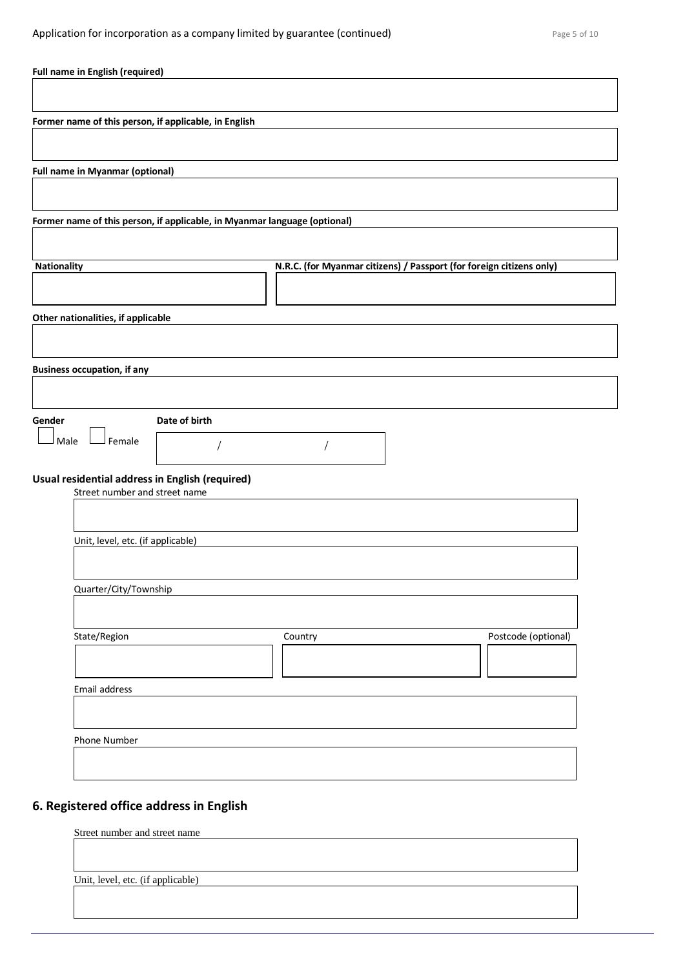| Full name in English (required)                                                  |                                                                      |                     |
|----------------------------------------------------------------------------------|----------------------------------------------------------------------|---------------------|
|                                                                                  |                                                                      |                     |
| Former name of this person, if applicable, in English                            |                                                                      |                     |
|                                                                                  |                                                                      |                     |
| <b>Full name in Myanmar (optional)</b>                                           |                                                                      |                     |
|                                                                                  |                                                                      |                     |
| Former name of this person, if applicable, in Myanmar language (optional)        |                                                                      |                     |
|                                                                                  |                                                                      |                     |
| <b>Nationality</b>                                                               | N.R.C. (for Myanmar citizens) / Passport (for foreign citizens only) |                     |
|                                                                                  |                                                                      |                     |
| Other nationalities, if applicable                                               |                                                                      |                     |
|                                                                                  |                                                                      |                     |
| <b>Business occupation, if any</b>                                               |                                                                      |                     |
|                                                                                  |                                                                      |                     |
| Date of birth<br>Gender                                                          |                                                                      |                     |
| Female<br>Male                                                                   |                                                                      |                     |
|                                                                                  |                                                                      |                     |
| Usual residential address in English (required)<br>Street number and street name |                                                                      |                     |
|                                                                                  |                                                                      |                     |
| Unit, level, etc. (if applicable)                                                |                                                                      |                     |
|                                                                                  |                                                                      |                     |
| Quarter/City/Township                                                            |                                                                      |                     |
|                                                                                  |                                                                      |                     |
| State/Region                                                                     | Country                                                              | Postcode (optional) |
|                                                                                  |                                                                      |                     |
| Email address                                                                    |                                                                      |                     |
|                                                                                  |                                                                      |                     |
| Phone Number                                                                     |                                                                      |                     |
|                                                                                  |                                                                      |                     |
|                                                                                  |                                                                      |                     |
| 6. Registered office address in English                                          |                                                                      |                     |
| Street number and street name                                                    |                                                                      |                     |

Unit, level, etc. (if applicable)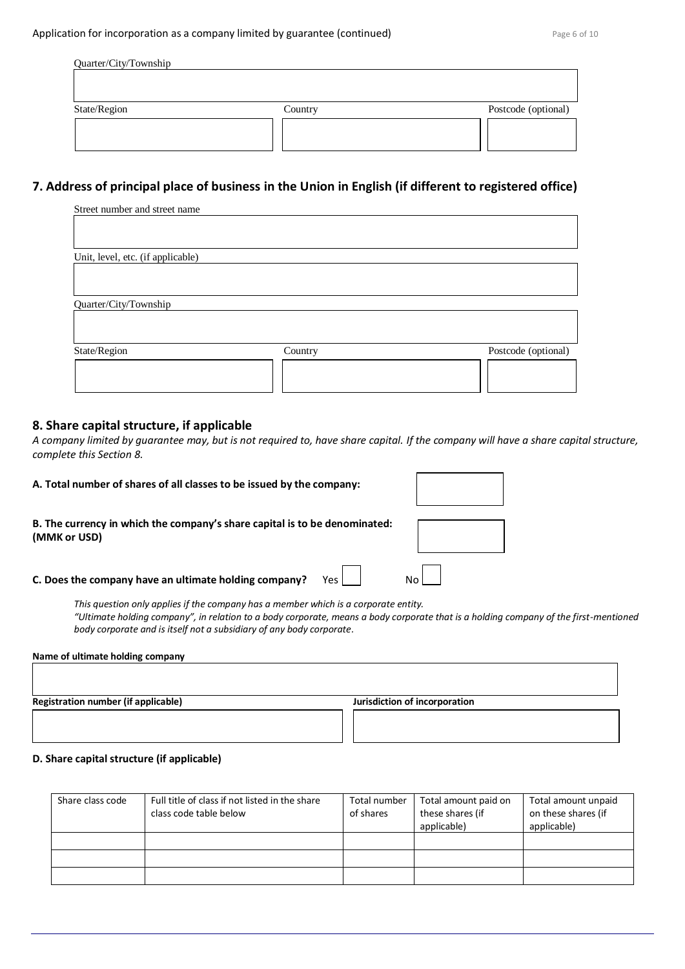| Quarter/City/Township |         |                     |
|-----------------------|---------|---------------------|
| State/Region          | Country | Postcode (optional) |
|                       |         |                     |

# **7. Address of principal place of business in the Union in English (if different to registered office)**

| Street number and street name     |         |                     |
|-----------------------------------|---------|---------------------|
|                                   |         |                     |
|                                   |         |                     |
| Unit, level, etc. (if applicable) |         |                     |
|                                   |         |                     |
|                                   |         |                     |
| Quarter/City/Township             |         |                     |
|                                   |         |                     |
|                                   |         |                     |
| State/Region                      | Country | Postcode (optional) |
|                                   |         |                     |
|                                   |         |                     |
|                                   |         |                     |

#### **8. Share capital structure, if applicable**

*A company limited by guarantee may, but is not required to, have share capital. If the company will have a share capital structure, complete this Section 8.*

| A. Total number of shares of all classes to be issued by the company:                      |  |
|--------------------------------------------------------------------------------------------|--|
| B. The currency in which the company's share capital is to be denominated:<br>(MMK or USD) |  |
| Yes L<br>C. Does the company have an ultimate holding company?                             |  |
| This question only applies if the company has a member which is a corporate entity.        |  |

*"Ultimate holding company", in relation to a body corporate, means a body corporate that is a holding company of the first-mentioned body corporate and is itself not a subsidiary of any body corporate.*

#### **Name of ultimate holding company**

**Registration number (if applicable) All and Separation of incorporation** *Jurisdiction of incorporation* 

#### **D. Share capital structure (if applicable)**

| Share class code | Full title of class if not listed in the share<br>class code table below | Total number<br>of shares | Total amount paid on<br>these shares (if<br>applicable) | Total amount unpaid<br>on these shares (if<br>applicable) |
|------------------|--------------------------------------------------------------------------|---------------------------|---------------------------------------------------------|-----------------------------------------------------------|
|                  |                                                                          |                           |                                                         |                                                           |
|                  |                                                                          |                           |                                                         |                                                           |
|                  |                                                                          |                           |                                                         |                                                           |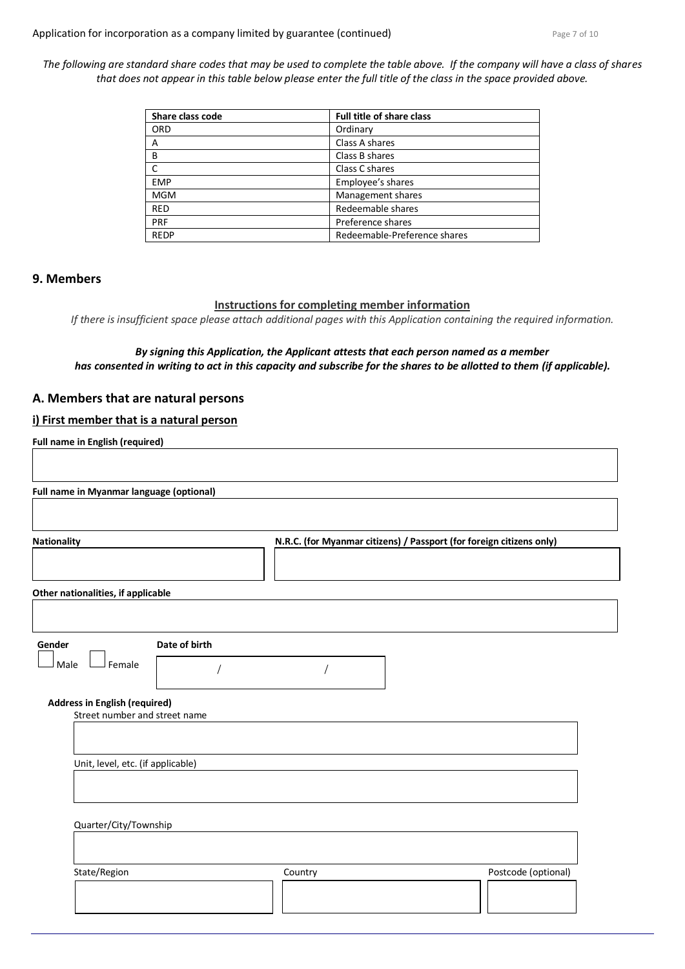*The following are standard share codes that may be used to complete the table above. If the company will have a class of shares that does not appear in this table below please enter the full title of the class in the space provided above.*

| Share class code | Full title of share class    |
|------------------|------------------------------|
| <b>ORD</b>       | Ordinary                     |
| Α                | Class A shares               |
| B                | Class B shares               |
| C                | Class C shares               |
| <b>EMP</b>       | Employee's shares            |
| <b>MGM</b>       | Management shares            |
| <b>RED</b>       | Redeemable shares            |
| PRF              | Preference shares            |
| <b>REDP</b>      | Redeemable-Preference shares |

#### **9. Members**

#### **Instructions for completing member information**

*If there is insufficient space please attach additional pages with this Application containing the required information.*

#### *By signing this Application, the Applicant attests that each person named as a member has consented in writing to act in this capacity and subscribe for the shares to be allotted to them (if applicable).*

# **A. Members that are natural persons**

#### **i) First member that is a natural person**

| Other nationalities, if applicable |                                      |  |  |
|------------------------------------|--------------------------------------|--|--|
|                                    |                                      |  |  |
|                                    |                                      |  |  |
|                                    |                                      |  |  |
| Date of birth                      |                                      |  |  |
|                                    |                                      |  |  |
|                                    |                                      |  |  |
| Street number and street name      |                                      |  |  |
|                                    |                                      |  |  |
| Unit, level, etc. (if applicable)  |                                      |  |  |
|                                    |                                      |  |  |
|                                    |                                      |  |  |
| Quarter/City/Township              |                                      |  |  |
|                                    | <b>Address in English (required)</b> |  |  |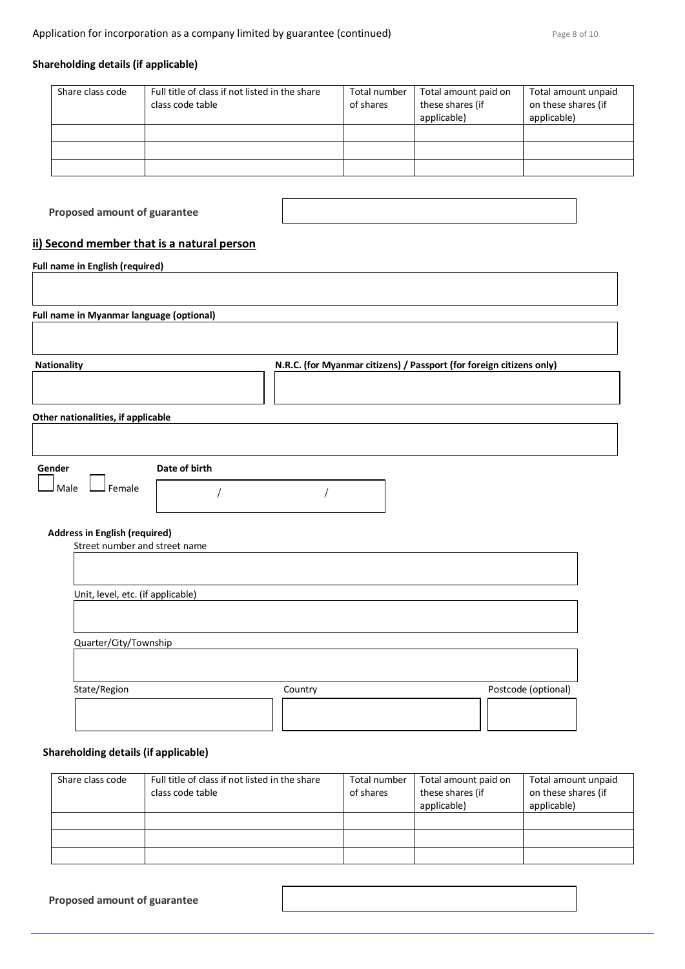# **Shareholding details (if applicable)**

| Share class code | Full title of class if not listed in the share<br>class code table | Total number<br>of shares | Total amount paid on<br>these shares (if<br>applicable) | Total amount unpaid<br>on these shares (if<br>applicable) |
|------------------|--------------------------------------------------------------------|---------------------------|---------------------------------------------------------|-----------------------------------------------------------|
|                  |                                                                    |                           |                                                         |                                                           |
|                  |                                                                    |                           |                                                         |                                                           |
|                  |                                                                    |                           |                                                         |                                                           |

**Proposed amount of guarantee**

# **ii) Second member that is a natural person**

| <b>Nationality</b>                                                    |               |  |  | N.R.C. (for Myanmar citizens) / Passport (for foreign citizens only) |  |
|-----------------------------------------------------------------------|---------------|--|--|----------------------------------------------------------------------|--|
| Other nationalities, if applicable                                    |               |  |  |                                                                      |  |
| Gender                                                                | Date of birth |  |  |                                                                      |  |
| J Female<br>Male                                                      |               |  |  |                                                                      |  |
| <b>Address in English (required)</b><br>Street number and street name |               |  |  |                                                                      |  |
|                                                                       |               |  |  |                                                                      |  |
| Unit, level, etc. (if applicable)                                     |               |  |  |                                                                      |  |

# **Shareholding details (if applicable)**

| Share class code | Full title of class if not listed in the share | Total number | Total amount paid on | Total amount unpaid |
|------------------|------------------------------------------------|--------------|----------------------|---------------------|
|                  | class code table                               | of shares    | these shares (if     | on these shares (if |
|                  |                                                |              | applicable)          | applicable)         |
|                  |                                                |              |                      |                     |
|                  |                                                |              |                      |                     |
|                  |                                                |              |                      |                     |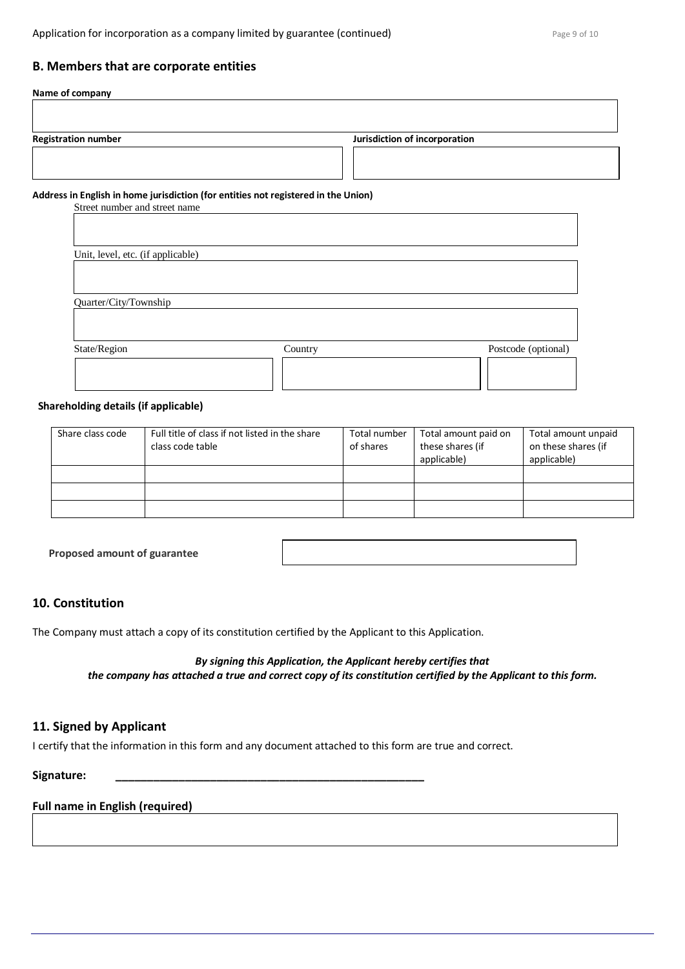#### **B. Members that are corporate entities**

# **Name of company Registration number** *Registration number Lurisdiction of incorporation* **Address in English in home jurisdiction (for entities not registered in the Union)**

Street number and street name

| Unit, level, etc. (if applicable) |         |                     |
|-----------------------------------|---------|---------------------|
|                                   |         |                     |
| Quarter/City/Township             |         |                     |
|                                   |         |                     |
| State/Region                      | Country | Postcode (optional) |
|                                   |         |                     |
|                                   |         |                     |

#### **Shareholding details (if applicable)**

| Share class code | Full title of class if not listed in the share<br>class code table | Total number<br>of shares | Total amount paid on<br>these shares (if<br>applicable) | Total amount unpaid<br>on these shares (if<br>applicable) |
|------------------|--------------------------------------------------------------------|---------------------------|---------------------------------------------------------|-----------------------------------------------------------|
|                  |                                                                    |                           |                                                         |                                                           |
|                  |                                                                    |                           |                                                         |                                                           |
|                  |                                                                    |                           |                                                         |                                                           |

**Proposed amount of guarantee**

# **10. Constitution**

The Company must attach a copy of its constitution certified by the Applicant to this Application.

*By signing this Application, the Applicant hereby certifies that the company has attached a true and correct copy of its constitution certified by the Applicant to this form.*

# **11. Signed by Applicant**

I certify that the information in this form and any document attached to this form are true and correct.

**Signature: \_\_\_\_\_\_\_\_\_\_\_\_\_\_\_\_\_\_\_\_\_\_\_\_\_\_\_\_\_\_\_\_\_\_\_\_\_\_\_\_\_\_\_\_\_\_\_\_\_**

# **Full name in English (required)**